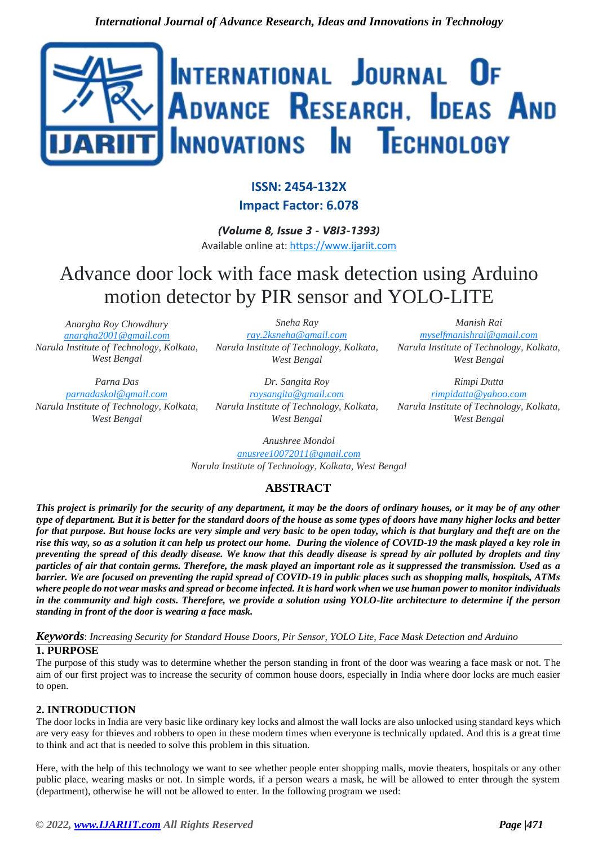

## **ISSN: 2454-132X Impact Factor: 6.078**

*(Volume 8, Issue 3 - V8I3-1393)* Available online at: [https://www.ijariit.com](https://www.ijariit.com/?utm_source=pdf&utm_medium=edition&utm_campaign=OmAkSols&utm_term=V8I3-1393)

# Advance door lock with face mask detection using Arduino motion detector by PIR sensor and YOLO-LITE

*Anargha Roy Chowdhury [anargha2001@gmail.com](mailto:anargha2001@gmail.com) Narula Institute of Technology, Kolkata, West Bengal*

*Sneha Ray [ray.2ksneha@gmail.com](mailto:ray.2ksneha@gmail.com) Narula Institute of Technology, Kolkata, West Bengal*

*Dr. Sangita Roy*

*[myselfmanishrai@gmail.com](mailto:myselfmanishrai@gmail.com) Narula Institute of Technology, Kolkata, West Bengal*

*Manish Rai*

*Parna Das [parnadaskol@gmail.com](mailto:parnadaskol@gmail.com) Narula Institute of Technology, Kolkata, West Bengal*

*[roysangita@gmail.com](mailto:roysangita@gmail.com) Narula Institute of Technology, Kolkata, West Bengal*

*Rimpi Dutta [rimpidatta@yahoo.com](mailto:rimpidatta@yahoo.com) Narula Institute of Technology, Kolkata, West Bengal*

*Anushree Mondol [anusree10072011@gmail.com](mailto:anusree10072011@gmail.com) Narula Institute of Technology, Kolkata, West Bengal*

## **ABSTRACT**

*This project is primarily for the security of any department, it may be the doors of ordinary houses, or it may be of any other type of department. But it is better for the standard doors of the house as some types of doors have many higher locks and better for that purpose. But house locks are very simple and very basic to be open today, which is that burglary and theft are on the rise this way, so as a solution it can help us protect our home. During the violence of COVID-19 the mask played a key role in preventing the spread of this deadly disease. We know that this deadly disease is spread by air polluted by droplets and tiny particles of air that contain germs. Therefore, the mask played an important role as it suppressed the transmission. Used as a barrier. We are focused on preventing the rapid spread of COVID-19 in public places such as shopping malls, hospitals, ATMs where people do not wear masks and spread or become infected. It is hard work when we use human power to monitor individuals in the community and high costs. Therefore, we provide a solution using YOLO-lite architecture to determine if the person standing in front of the door is wearing a face mask.*

*Keywords*: *Increasing Security for Standard House Doors, Pir Sensor, YOLO Lite, Face Mask Detection and Arduino* **1. PURPOSE**

The purpose of this study was to determine whether the person standing in front of the door was wearing a face mask or not. The aim of our first project was to increase the security of common house doors, especially in India where door locks are much easier to open.

## **2. INTRODUCTION**

The door locks in India are very basic like ordinary key locks and almost the wall locks are also unlocked using standard keys which are very easy for thieves and robbers to open in these modern times when everyone is technically updated. And this is a great time to think and act that is needed to solve this problem in this situation.

Here, with the help of this technology we want to see whether people enter shopping malls, movie theaters, hospitals or any other public place, wearing masks or not. In simple words, if a person wears a mask, he will be allowed to enter through the system (department), otherwise he will not be allowed to enter. In the following program we used: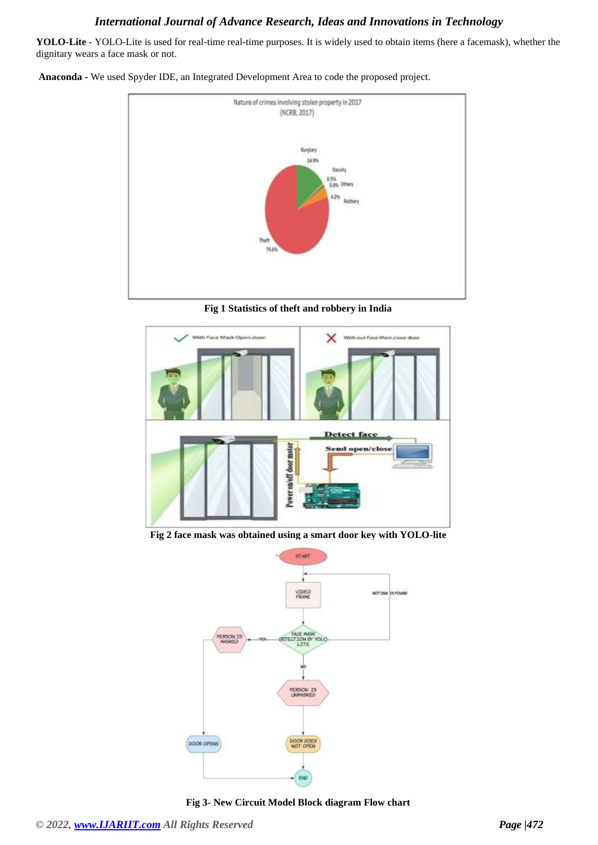**YOLO-Lite -** YOLO-Lite is used for real-time real-time purposes. It is widely used to obtain items (here a facemask), whether the dignitary wears a face mask or not.

**Anaconda -** We used Spyder IDE, an Integrated Development Area to code the proposed project.



**Fig 1 Statistics of theft and robbery in India**



**Fig 2 face mask was obtained using a smart door key with YOLO-lite**



**Fig 3- New Circuit Model Block diagram Flow chart**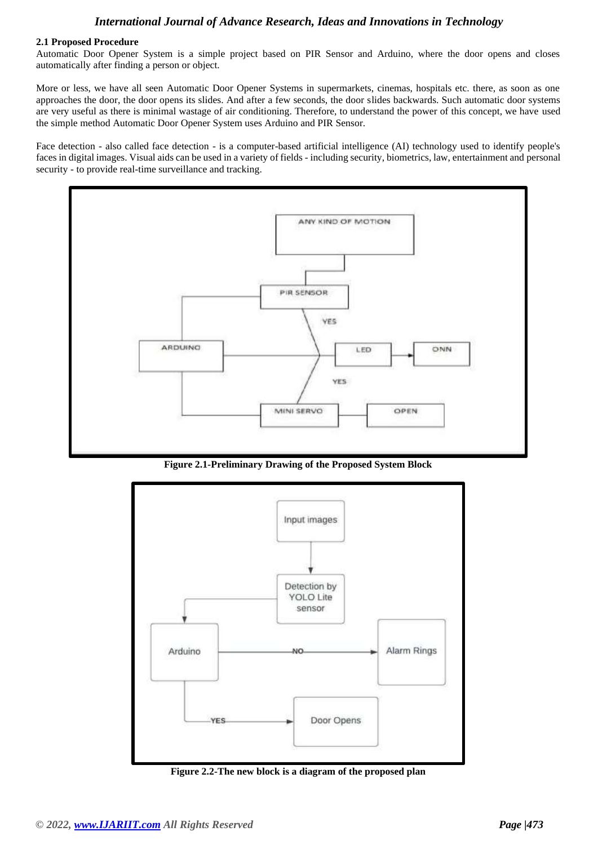#### **2.1 Proposed Procedure**

Automatic Door Opener System is a simple project based on PIR Sensor and Arduino, where the door opens and closes automatically after finding a person or object.

More or less, we have all seen Automatic Door Opener Systems in supermarkets, cinemas, hospitals etc. there, as soon as one approaches the door, the door opens its slides. And after a few seconds, the door slides backwards. Such automatic door systems are very useful as there is minimal wastage of air conditioning. Therefore, to understand the power of this concept, we have used the simple method Automatic Door Opener System uses Arduino and PIR Sensor.

Face detection - also called face detection - is a computer-based artificial intelligence (AI) technology used to identify people's faces in digital images. Visual aids can be used in a variety of fields - including security, biometrics, law, entertainment and personal security - to provide real-time surveillance and tracking.



**Figure 2.1-Preliminary Drawing of the Proposed System Block**



**Figure 2.2-The new block is a diagram of the proposed plan**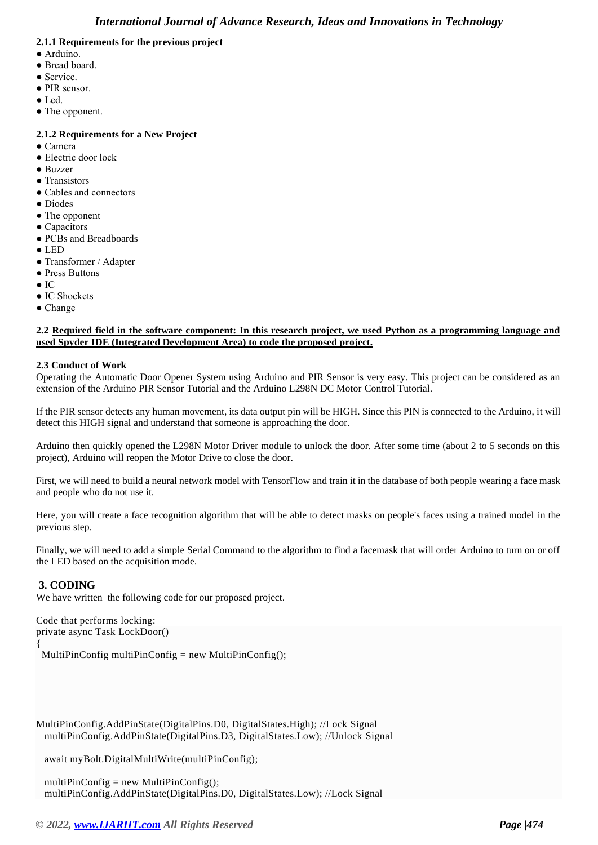#### **2.1.1 Requirements for the previous project**

- Arduino.
- Bread board.
- Service.
- PIR sensor.
- Led.
- The opponent.

#### **2.1.2 Requirements for a New Project**

- Camera
- Electric door lock
- Buzzer
- Transistors
- Cables and connectors
- Diodes
- The opponent
- Capacitors
- PCBs and Breadboards
- LED
- Transformer / Adapter
- Press Buttons
- IC
- IC Shockets
- Change

#### **2.2 Required field in the software component: In this research project, we used Python as a programming language and used Spyder IDE (Integrated Development Area) to code the proposed project.**

#### **2.3 Conduct of Work**

Operating the Automatic Door Opener System using Arduino and PIR Sensor is very easy. This project can be considered as an extension of the Arduino PIR Sensor Tutorial and the Arduino L298N DC Motor Control Tutorial.

If the PIR sensor detects any human movement, its data output pin will be HIGH. Since this PIN is connected to the Arduino, it will detect this HIGH signal and understand that someone is approaching the door.

Arduino then quickly opened the L298N Motor Driver module to unlock the door. After some time (about 2 to 5 seconds on this project), Arduino will reopen the Motor Drive to close the door.

First, we will need to build a neural network model with TensorFlow and train it in the database of both people wearing a face mask and people who do not use it.

Here, you will create a face recognition algorithm that will be able to detect masks on people's faces using a trained model in the previous step.

Finally, we will need to add a simple Serial Command to the algorithm to find a facemask that will order Arduino to turn on or off the LED based on the acquisition mode.

#### **3. CODING**

We have written the following code for our proposed project.

```
Code that performs locking:
private async Task LockDoor()
{
 MultiPinConfig multiPinConfig = new MultiPinConfig();
```
MultiPinConfig.AddPinState(DigitalPins.D0, DigitalStates.High); //Lock Signal multiPinConfig.AddPinState(DigitalPins.D3, DigitalStates.Low); //Unlock Signal

await myBolt.DigitalMultiWrite(multiPinConfig);

multiPinConfig = new MultiPinConfig $($ ); multiPinConfig.AddPinState(DigitalPins.D0, DigitalStates.Low); //Lock Signal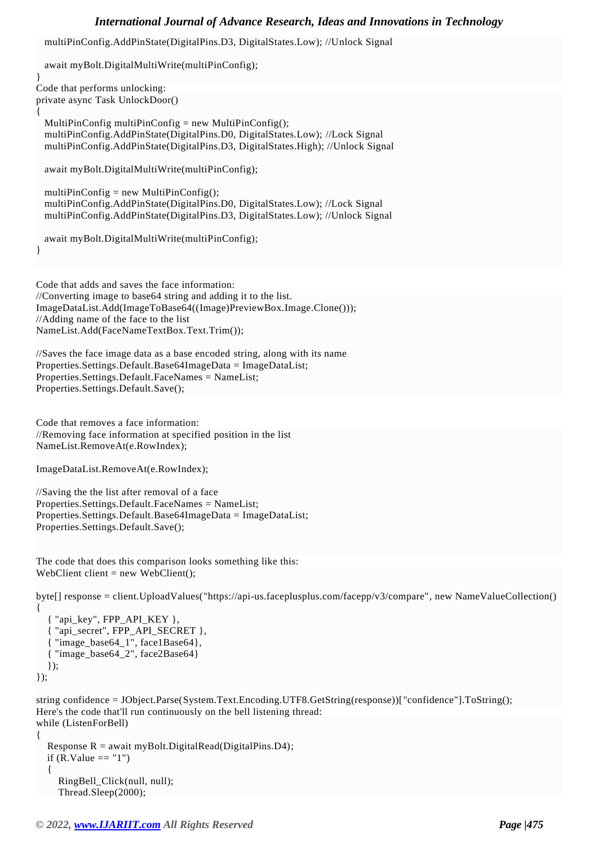multiPinConfig.AddPinState(DigitalPins.D3, DigitalStates.Low); //Unlock Signal

 await myBolt.DigitalMultiWrite(multiPinConfig); } Code that performs unlocking: private async Task UnlockDoor() { MultiPinConfig multiPinConfig = new MultiPinConfig $($ ); multiPinConfig.AddPinState(DigitalPins.D0, DigitalStates.Low); //Lock Signal multiPinConfig.AddPinState(DigitalPins.D3, DigitalStates.High); //Unlock Signal await myBolt.DigitalMultiWrite(multiPinConfig); multiPinConfig = new MultiPinConfig $()$ ; multiPinConfig.AddPinState(DigitalPins.D0, DigitalStates.Low); //Lock Signal multiPinConfig.AddPinState(DigitalPins.D3, DigitalStates.Low); //Unlock Signal await myBolt.DigitalMultiWrite(multiPinConfig); } Code that adds and saves the face information: //Converting image to base64 string and adding it to the list. ImageDataList.Add(ImageToBase64((Image)PreviewBox.Image.Clone())); //Adding name of the face to the list NameList.Add(FaceNameTextBox.Text.Trim()); //Saves the face image data as a base encoded string, along with its name Properties.Settings.Default.Base64ImageData = ImageDataList; Properties.Settings.Default.FaceNames = NameList; Properties.Settings.Default.Save(); Code that removes a face information: //Removing face information at specified position in the list NameList.RemoveAt(e.RowIndex);

```
ImageDataList.RemoveAt(e.RowIndex);
```
//Saving the the list after removal of a face Properties.Settings.Default.FaceNames = NameList; Properties.Settings.Default.Base64ImageData = ImageDataList; Properties.Settings.Default.Save();

The code that does this comparison looks something like this: WebClient client = new WebClient();

byte[] response = client.UploadValues("https://api-us.faceplusplus.com/facepp/v3/compare", new NameValueCollection()

```
 { "api_key", FPP_API_KEY },
   { "api_secret", FPP_API_SECRET },
    "image_base64_1", face1Base64},
   { "image_base64_2", face2Base64}
  \});
});
```
{

string confidence = JObject.Parse(System.Text.Encoding.UTF8.GetString(response))["confidence"].ToString(); Here's the code that'll run continuously on the bell listening thread: while (ListenForBell)

```
{
  Response R = await myBolt.DigitalRead(DigitalPins.D4);
  if (R.Value == "1") {
      RingBell_Click(null, null);
      Thread.Sleep(2000);
```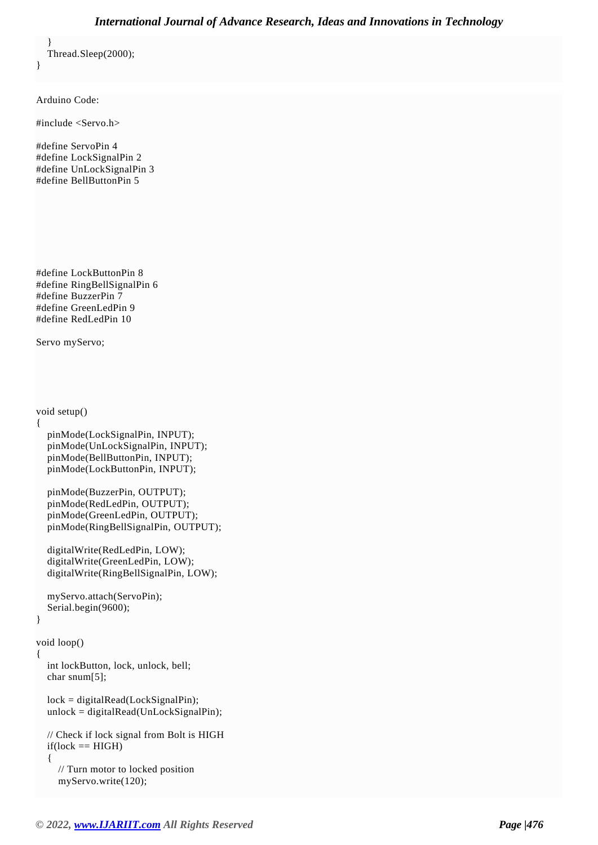} Thread.Sleep(2000);

Arduino Code:

}

#include <Servo.h>

#define ServoPin 4 #define LockSignalPin 2 #define UnLockSignalPin 3 #define BellButtonPin 5

#define LockButtonPin 8 #define RingBellSignalPin 6 #define BuzzerPin 7 #define GreenLedPin 9 #define RedLedPin 10

Servo myServo;

void setup()

```
{
```

```
 pinMode(LockSignalPin, INPUT);
 pinMode(UnLockSignalPin, INPUT);
 pinMode(BellButtonPin, INPUT);
 pinMode(LockButtonPin, INPUT);
```
 pinMode(BuzzerPin, OUTPUT); pinMode(RedLedPin, OUTPUT); pinMode(GreenLedPin, OUTPUT); pinMode(RingBellSignalPin, OUTPUT);

```
 digitalWrite(RedLedPin, LOW);
 digitalWrite(GreenLedPin, LOW);
 digitalWrite(RingBellSignalPin, LOW);
```

```
 myServo.attach(ServoPin);
 Serial.begin(9600);
```
void loop()

{

}

```
 int lockButton, lock, unlock, bell;
 char snum[5];
```

```
 lock = digitalRead(LockSignalPin);
unlock = digitalRead(UnLockSignalPin);
```

```
 // Check if lock signal from Bolt is HIGH
if(lock == HIGH) {
   // Turn motor to locked position
```

```
 myServo.write(120);
```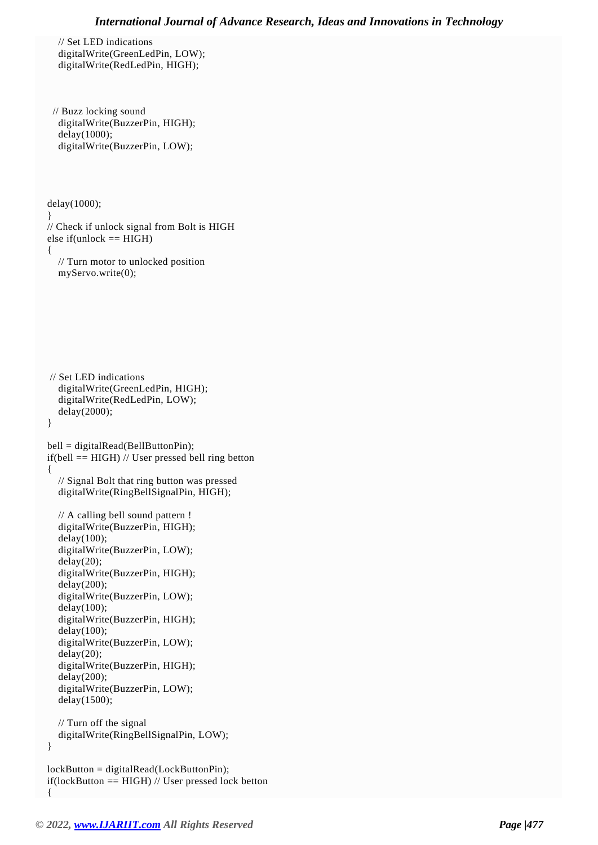// Set LED indications digitalWrite(GreenLedPin, LOW); digitalWrite(RedLedPin, HIGH);

```
 // Buzz locking sound
  digitalWrite(BuzzerPin, HIGH);
  delay(1000);
  digitalWrite(BuzzerPin, LOW);
```
 delay(1000); } // Check if unlock signal from Bolt is HIGH else if(unlock  $==$  HIGH) { // Turn motor to unlocked position myServo.write(0);

```
 // Set LED indications
   digitalWrite(GreenLedPin, HIGH);
   digitalWrite(RedLedPin, LOW);
   delay(2000);
 }
```

```
 bell = digitalRead(BellButtonPin);
if(bell == HIGH) // User pressed bell ring betton
 {
   // Signal Bolt that ring button was pressed
   digitalWrite(RingBellSignalPin, HIGH);
   // A calling bell sound pattern !
   digitalWrite(BuzzerPin, HIGH); 
   delay(100);
   digitalWrite(BuzzerPin, LOW);
   delay(20);
   digitalWrite(BuzzerPin, HIGH);
```

```
 delay(200);
 digitalWrite(BuzzerPin, LOW);
 delay(100);
 digitalWrite(BuzzerPin, HIGH);
delay(100);
 digitalWrite(BuzzerPin, LOW);
 delay(20);
 digitalWrite(BuzzerPin, HIGH);
 delay(200);
 digitalWrite(BuzzerPin, LOW);
 delay(1500);
```
 // Turn off the signal digitalWrite(RingBellSignalPin, LOW);

}

```
 lockButton = digitalRead(LockButtonPin);
 if(lockButton == HIGH) // User pressed lock betton
 {
```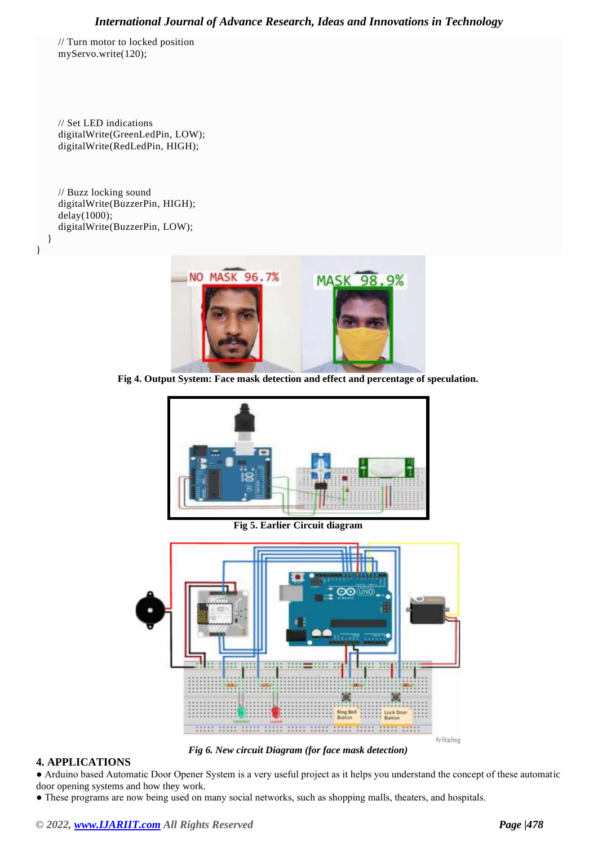// Turn motor to locked position myServo.write(120);

 // Set LED indications digitalWrite(GreenLedPin, LOW); digitalWrite(RedLedPin, HIGH);

 // Buzz locking sound digitalWrite(BuzzerPin, HIGH); delay(1000); digitalWrite(BuzzerPin, LOW);

 } }



**Fig 4. Output System: Face mask detection and effect and percentage of speculation.**



**Fig 5. Earlier Circuit diagram**



*Fig 6. New circuit Diagram (for face mask detection)*

## **4. APPLICATIONS**

● Arduino based Automatic Door Opener System is a very useful project as it helps you understand the concept of these automatic door opening systems and how they work.

● These programs are now being used on many social networks, such as shopping malls, theaters, and hospitals.